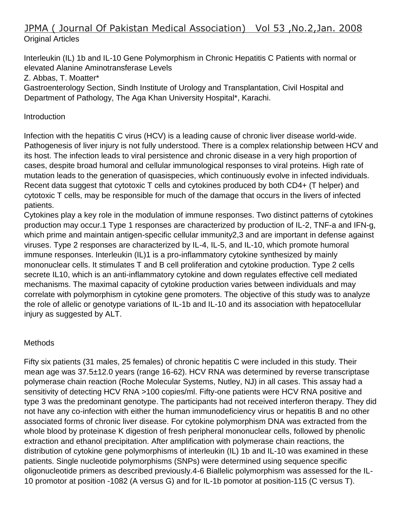# JPMA ( Journal Of Pakistan Medical Association) Vol 53 ,No.2,Jan. 2008 Original Articles

Interleukin (IL) 1b and IL-10 Gene Polymorphism in Chronic Hepatitis C Patients with normal or elevated Alanine Aminotransferase Levels Z. Abbas, T. Moatter\* Gastroenterology Section, Sindh Institute of Urology and Transplantation, Civil Hospital and Department of Pathology, The Aga Khan University Hospital\*, Karachi.

### **Introduction**

Infection with the hepatitis C virus (HCV) is a leading cause of chronic liver disease world-wide. Pathogenesis of liver injury is not fully understood. There is a complex relationship between HCV and its host. The infection leads to viral persistence and chronic disease in a very high proportion of cases, despite broad humoral and cellular immunological responses to viral proteins. High rate of mutation leads to the generation of quasispecies, which continuously evolve in infected individuals. Recent data suggest that cytotoxic T cells and cytokines produced by both CD4+ (T helper) and cytotoxic T cells, may be responsible for much of the damage that occurs in the livers of infected patients.

Cytokines play a key role in the modulation of immune responses. Two distinct patterns of cytokines production may occur.1 Type 1 responses are characterized by production of IL-2, TNF-a and IFN-g, which prime and maintain antigen-specific cellular immunity2,3 and are important in defense against viruses. Type 2 responses are characterized by IL-4, IL-5, and IL-10, which promote humoral immune responses. Interleukin (IL)1 is a pro-inflammatory cytokine synthesized by mainly mononuclear cells. It stimulates T and B cell proliferation and cytokine production. Type 2 cells secrete IL10, which is an anti-inflammatory cytokine and down regulates effective cell mediated mechanisms. The maximal capacity of cytokine production varies between individuals and may correlate with polymorphism in cytokine gene promoters. The objective of this study was to analyze the role of allelic or genotype variations of IL-1b and IL-10 and its association with hepatocellular injury as suggested by ALT.

## **Methods**

Fifty six patients (31 males, 25 females) of chronic hepatitis C were included in this study. Their mean age was 37.5±12.0 years (range 16-62). HCV RNA was determined by reverse transcriptase polymerase chain reaction (Roche Molecular Systems, Nutley, NJ) in all cases. This assay had a sensitivity of detecting HCV RNA >100 copies/ml. Fifty-one patients were HCV RNA positive and type 3 was the predominant genotype. The participants had not received interferon therapy. They did not have any co-infection with either the human immunodeficiency virus or hepatitis B and no other associated forms of chronic liver disease. For cytokine polymorphism DNA was extracted from the whole blood by proteinase K digestion of fresh peripheral mononuclear cells, followed by phenolic extraction and ethanol precipitation. After amplification with polymerase chain reactions, the distribution of cytokine gene polymorphisms of interleukin (IL) 1b and IL-10 was examined in these patients. Single nucleotide polymorphisms (SNPs) were determined using sequence specific oligonucleotide primers as described previously.4-6 Biallelic polymorphism was assessed for the IL-10 promotor at position -1082 (A versus G) and for IL-1b pomotor at position-115 (C versus T).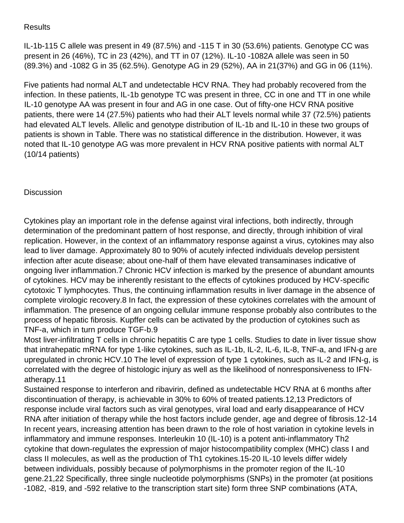## **Results**

IL-1b-115 C allele was present in 49 (87.5%) and -115 T in 30 (53.6%) patients. Genotype CC was present in 26 (46%), TC in 23 (42%), and TT in 07 (12%). IL-10 -1082A allele was seen in 50 (89.3%) and -1082 G in 35 (62.5%). Genotype AG in 29 (52%), AA in 21(37%) and GG in 06 (11%).

Five patients had normal ALT and undetectable HCV RNA. They had probably recovered from the infection. In these patients, IL-1b genotype TC was present in three, CC in one and TT in one while IL-10 genotype AA was present in four and AG in one case. Out of fifty-one HCV RNA positive patients, there were 14 (27.5%) patients who had their ALT levels normal while 37 (72.5%) patients had elevated ALT levels. Allelic and genotype distribution of IL-1b and IL-10 in these two groups of patients is shown in Table. There was no statistical difference in the distribution. However, it was noted that IL-10 genotype AG was more prevalent in HCV RNA positive patients with normal ALT (10/14 patients)

## **Discussion**

Cytokines play an important role in the defense against viral infections, both indirectly, through determination of the predominant pattern of host response, and directly, through inhibition of viral replication. However, in the context of an inflammatory response against a virus, cytokines may also lead to liver damage. Approximately 80 to 90% of acutely infected individuals develop persistent infection after acute disease; about one-half of them have elevated transaminases indicative of ongoing liver inflammation.7 Chronic HCV infection is marked by the presence of abundant amounts of cytokines. HCV may be inherently resistant to the effects of cytokines produced by HCV-specific cytotoxic T lymphocytes. Thus, the continuing inflammation results in liver damage in the absence of complete virologic recovery.8 In fact, the expression of these cytokines correlates with the amount of inflammation. The presence of an ongoing cellular immune response probably also contributes to the process of hepatic fibrosis. Kupffer cells can be activated by the production of cytokines such as TNF-a, which in turn produce TGF-b.9

Most liver-infiltrating T cells in chronic hepatitis C are type 1 cells. Studies to date in liver tissue show that intrahepatic mRNA for type 1-like cytokines, such as IL-1b, IL-2, IL-6, IL-8, TNF-a, and IFN-g are upregulated in chronic HCV.10 The level of expression of type 1 cytokines, such as IL-2 and IFN-g, is correlated with the degree of histologic injury as well as the likelihood of nonresponsiveness to IFNatherapy.11

Sustained response to interferon and ribavirin, defined as undetectable HCV RNA at 6 months after discontinuation of therapy, is achievable in 30% to 60% of treated patients.12,13 Predictors of response include viral factors such as viral genotypes, viral load and early disappearance of HCV RNA after initiation of therapy while the host factors include gender, age and degree of fibrosis.12-14 In recent years, increasing attention has been drawn to the role of host variation in cytokine levels in inflammatory and immune responses. Interleukin 10 (IL-10) is a potent anti-inflammatory Th2 cytokine that down-regulates the expression of major histocompatibility complex (MHC) class I and class II molecules, as well as the production of Th1 cytokines.15-20 IL-10 levels differ widely between individuals, possibly because of polymorphisms in the promoter region of the IL-10 gene.21,22 Specifically, three single nucleotide polymorphisms (SNPs) in the promoter (at positions -1082, -819, and -592 relative to the transcription start site) form three SNP combinations (ATA,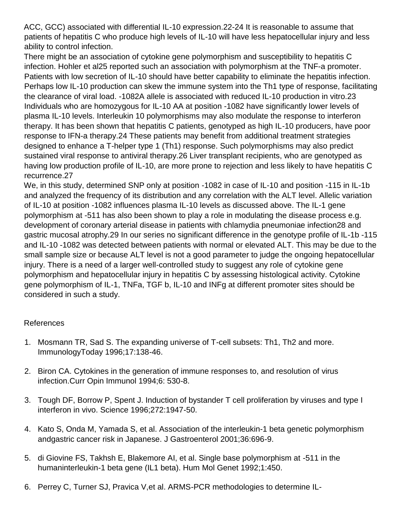ACC, GCC) associated with differential IL-10 expression.22-24 It is reasonable to assume that patients of hepatitis C who produce high levels of IL-10 will have less hepatocellular injury and less ability to control infection.

There might be an association of cytokine gene polymorphism and susceptibility to hepatitis C infection. Hohler et al25 reported such an association with polymorphism at the TNF-a promoter. Patients with low secretion of IL-10 should have better capability to eliminate the hepatitis infection. Perhaps low IL-10 production can skew the immune system into the Th1 type of response, facilitating the clearance of viral load. -1082A allele is associated with reduced IL-10 production in vitro.23 Individuals who are homozygous for IL-10 AA at position -1082 have significantly lower levels of plasma IL-10 levels. Interleukin 10 polymorphisms may also modulate the response to interferon therapy. It has been shown that hepatitis C patients, genotyped as high IL-10 producers, have poor response to IFN-a therapy.24 These patients may benefit from additional treatment strategies designed to enhance a T-helper type 1 (Th1) response. Such polymorphisms may also predict sustained viral response to antiviral therapy.26 Liver transplant recipients, who are genotyped as having low production profile of IL-10, are more prone to rejection and less likely to have hepatitis C recurrence.27

We, in this study, determined SNP only at position -1082 in case of IL-10 and position -115 in IL-1b and analyzed the frequency of its distribution and any correlation with the ALT level. Allelic variation of IL-10 at position -1082 influences plasma IL-10 levels as discussed above. The IL-1 gene polymorphism at -511 has also been shown to play a role in modulating the disease process e.g. development of coronary arterial disease in patients with chlamydia pneumoniae infection28 and gastric mucosal atrophy.29 In our series no significant difference in the genotype profile of IL-1b -115 and IL-10 -1082 was detected between patients with normal or elevated ALT. This may be due to the small sample size or because ALT level is not a good parameter to judge the ongoing hepatocellular injury. There is a need of a larger well-controlled study to suggest any role of cytokine gene polymorphism and hepatocellular injury in hepatitis C by assessing histological activity. Cytokine gene polymorphism of IL-1, TNFa, TGF b, IL-10 and INFg at different promoter sites should be considered in such a study.

## References

- 1. Mosmann TR, Sad S. The expanding universe of T-cell subsets: Th1, Th2 and more. ImmunologyToday 1996;17:138-46.
- 2. Biron CA. Cytokines in the generation of immune responses to, and resolution of virus infection.Curr Opin Immunol 1994;6: 530-8.
- 3. Tough DF, Borrow P, Spent J. Induction of bystander T cell proliferation by viruses and type I interferon in vivo. Science 1996;272:1947-50.
- 4. Kato S, Onda M, Yamada S, et al. Association of the interleukin-1 beta genetic polymorphism andgastric cancer risk in Japanese. J Gastroenterol 2001;36:696-9.
- 5. di Giovine FS, Takhsh E, Blakemore AI, et al. Single base polymorphism at -511 in the humaninterleukin-1 beta gene (IL1 beta). Hum Mol Genet 1992;1:450.
- 6. Perrey C, Turner SJ, Pravica V,et al. ARMS-PCR methodologies to determine IL-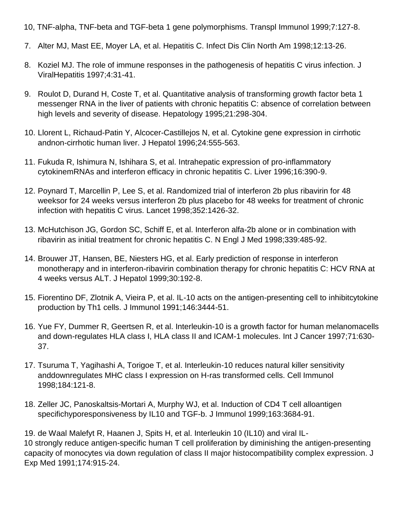10, TNF-alpha, TNF-beta and TGF-beta 1 gene polymorphisms. Transpl Immunol 1999;7:127-8.

- 7. Alter MJ, Mast EE, Moyer LA, et al. Hepatitis C. Infect Dis Clin North Am 1998;12:13-26.
- 8. Koziel MJ. The role of immune responses in the pathogenesis of hepatitis C virus infection. J ViralHepatitis 1997;4:31-41.
- 9. Roulot D, Durand H, Coste T, et al. Quantitative analysis of transforming growth factor beta 1 messenger RNA in the liver of patients with chronic hepatitis C: absence of correlation between high levels and severity of disease. Hepatology 1995;21:298-304.
- 10. Llorent L, Richaud-Patin Y, Alcocer-Castillejos N, et al. Cytokine gene expression in cirrhotic andnon-cirrhotic human liver. J Hepatol 1996;24:555-563.
- 11. Fukuda R, Ishimura N, Ishihara S, et al. Intrahepatic expression of pro-inflammatory cytokinemRNAs and interferon efficacy in chronic hepatitis C. Liver 1996;16:390-9.
- 12. Poynard T, Marcellin P, Lee S, et al. Randomized trial of interferon 2b plus ribavirin for 48 weeksor for 24 weeks versus interferon 2b plus placebo for 48 weeks for treatment of chronic infection with hepatitis C virus. Lancet 1998;352:1426-32.
- 13. McHutchison JG, Gordon SC, Schiff E, et al. Interferon alfa-2b alone or in combination with ribavirin as initial treatment for chronic hepatitis C. N Engl J Med 1998;339:485-92.
- 14. Brouwer JT, Hansen, BE, Niesters HG, et al. Early prediction of response in interferon monotherapy and in interferon-ribavirin combination therapy for chronic hepatitis C: HCV RNA at 4 weeks versus ALT. J Hepatol 1999;30:192-8.
- 15. Fiorentino DF, Zlotnik A, Vieira P, et al. IL-10 acts on the antigen-presenting cell to inhibitcytokine production by Th1 cells. J Immunol 1991;146:3444-51.
- 16. Yue FY, Dummer R, Geertsen R, et al. Interleukin-10 is a growth factor for human melanomacells and down-regulates HLA class I, HLA class II and ICAM-1 molecules. Int J Cancer 1997;71:630- 37.
- 17. Tsuruma T, Yagihashi A, Torigoe T, et al. Interleukin-10 reduces natural killer sensitivity anddownregulates MHC class I expression on H-ras transformed cells. Cell Immunol 1998;184:121-8.
- 18. Zeller JC, Panoskaltsis-Mortari A, Murphy WJ, et al. Induction of CD4 T cell alloantigen specifichyporesponsiveness by IL10 and TGF-b. J Immunol 1999;163:3684-91.

19. de Waal Malefyt R, Haanen J, Spits H, et al. Interleukin 10 (IL10) and viral IL-10 strongly reduce antigen-specific human T cell proliferation by diminishing the antigen-presenting capacity of monocytes via down regulation of class II major histocompatibility complex expression. J Exp Med 1991;174:915-24.